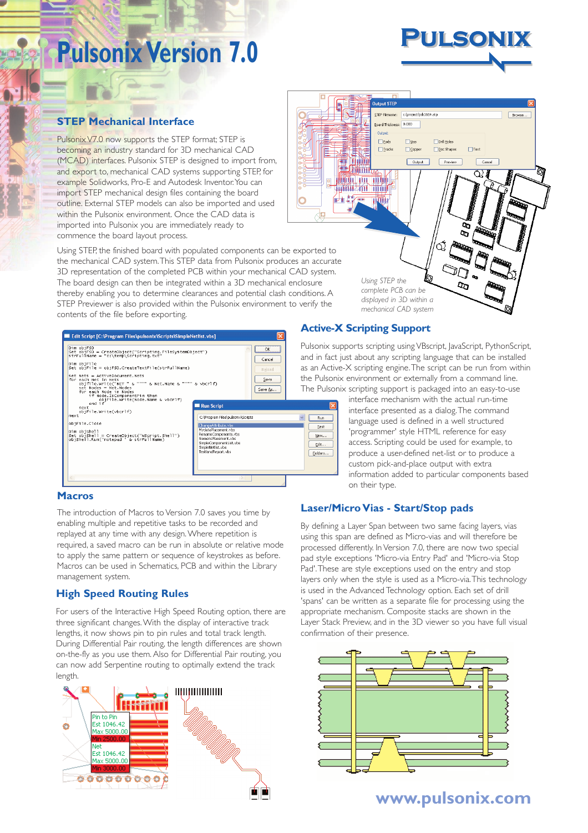## **Pulsonix Version 7.0**



#### **STEP Mechanical Interface**

Pulsonix V7.0 now supports the STEP format; STEP is becoming an industry standard for 3D mechanical CAD (MCAD) interfaces. Pulsonix STEP is designed to import from, and export to, mechanical CAD systems supporting STEP, for example Solidworks, Pro-E and Autodesk Inventor. You can import STEP mechanical design files containing the board outline. External STEP models can also be imported and used within the Pulsonix environment. Once the CAD data is imported into Pulsonix you are immediately ready to commence the board layout process.

Using STEP, the finished board with populated components can be exported to the mechanical CAD system.This STEP data from Pulsonix produces an accurate 3D representation of the completed PCB within your mechanical CAD system. The board design can then be integrated within a 3D mechanical enclosure thereby enabling you to determine clearances and potential clash conditions. A STEP Previewer is also provided within the Pulsonix environment to verify the contents of the file before exporting.



#### Browse... Board Thickness: 0.000  $\Box$  Back  $\square$ yjas Dril Holes  $\Box$ Text  $\Box$  Iracks  $\Box$  Coppe **Doc Shapes** j Thum Output Preview Cancel **ELON (THE** Q) l **Louis Lating THE ROOM OF STREET** 西塔 **Titul**y  $\overline{q}$  $\overline{a}$ රැ IN *Using STEP the*  $\sigma$ *complete PCB can be displayed in 3D within a mechanical CAD system*

#### **Active-X Scripting Support**

Pulsonix supports scripting using VBscript, JavaScript, PythonScript, and in fact just about any scripting language that can be installed as an Active-X scripting engine.The script can be run from within the Pulsonix environment or externally from a command line. The Pulsonix scripting support is packaged into an easy-to-use

> interface mechanism with the actual run-time interface presented as a dialog.The command language used is defined in a well structured 'programmer' style HTML reference for easy access. Scripting could be used for example, to produce a user-defined net-list or to produce a custom pick-and-place output with extra information added to particular components based on their type.

#### **Macros**

The introduction of Macros to Version 7.0 saves you time by enabling multiple and repetitive tasks to be recorded and replayed at any time with any design.Where repetition is required, a saved macro can be run in absolute or relative mode to apply the same pattern or sequence of keystrokes as before. Macros can be used in Schematics, PCB and within the Library management system.

#### **High Speed Routing Rules**

For users of the Interactive High Speed Routing option, there are three significant changes.With the display of interactive track lengths, it now shows pin to pin rules and total track length. During Differential Pair routing, the length differences are shown on-the-fly as you use them. Also for Differential Pair routing, you can now add Serpentine routing to optimally extend the track length.



#### **Laser/Micro Vias - Start/Stop pads**

By defining a Layer Span between two same facing layers, vias using this span are defined as Micro-vias and will therefore be processed differently. In Version 7.0, there are now two special pad style exceptions 'Micro-via Entry Pad' and 'Micro-via Stop Pad'.These are style exceptions used on the entry and stop layers only when the style is used as a Micro-via.This technology is used in the Advanced Technology option. Each set of drill 'spans' can be written as a separate file for processing using the appropriate mechanism. Composite stacks are shown in the Layer Stack Preview, and in the 3D viewer so you have full visual confirmation of their presence.



**www.pulsonix.com**